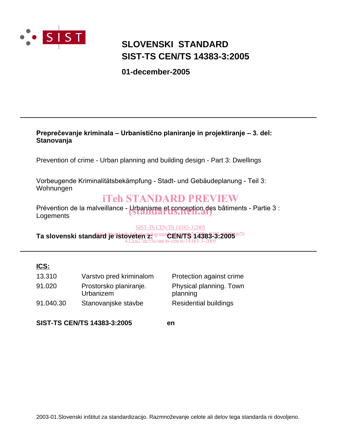

# **SLOVENSKI STANDARD SIST-TS CEN/TS 14383-3:2005**

**01-december-2005**

## **Preprečevanje kriminala – Urbanistično planiranje in projektiranje – 3. del: Stanovanja**

Prevention of crime - Urban planning and building design - Part 3: Dwellings

Vorbeugende Kriminalitätsbekämpfung - Stadt- und Gebäudeplanung - Teil 3: Wohnungen

# iTeh STANDARD PREVIEW

Prévention de la malveillance - Urbanisme et conception des bâtiments - Partie 3 :<br>Logements **Logements** 

### SIST-TS CEN/TS 14383-3:2005

Ta slovenski standard<sup>/</sup>je istoveten<sup>a bog/standeN/TS 14363 3:2005<sup>b7f-</sup></sup> 432ca27dc55e/sist-ts-cen-ts-14383-3-2005

# **ICS:**

| 13.310    | Varstvo pred kriminalom | P |
|-----------|-------------------------|---|
| 91.020    | Prostorsko planiranje.  | Р |
|           | Urbanizem               | р |
| 91.040.30 | Stanovanjske stavbe     | R |
|           |                         |   |

rotection against crime Physical planning. Town planning esidential buildings

**SIST-TS CEN/TS 14383-3:2005 en**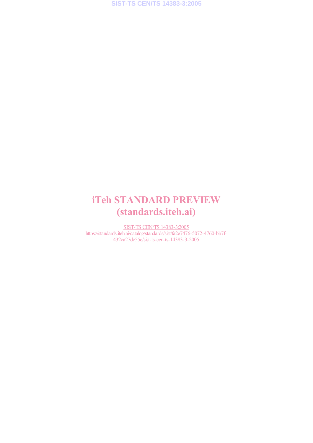# iTeh STANDARD PREVIEW (standards.iteh.ai)

SIST-TS CEN/TS 14383-3:2005 https://standards.iteh.ai/catalog/standards/sist/fa2e7476-5072-4760-bb7f-432ca27dc55e/sist-ts-cen-ts-14383-3-2005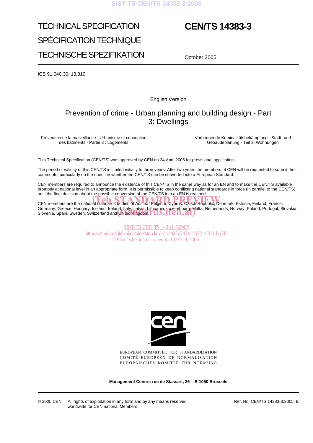### **SIST-TS CEN/TS 14383-3:2005**

# TECHNICAL SPECIFICATION SPÉCIFICATION TECHNIQUE TECHNISCHE SPEZIFIKATION

# **CEN/TS 14383-3**

October 2005

ICS 91.040.30; 13.310

English Version

# Prevention of crime - Urban planning and building design - Part 3: Dwellings

Prévention de la malveillance - Urbanisme et conception des bâtiments - Partie 3 : Logements

Vorbeugende Kriminalitätsbekämpfung - Stadt- und Gebäudeplanung - Teil 3: Wohnungen

This Technical Specification (CEN/TS) was approved by CEN on 24 April 2005 for provisional application.

The period of validity of this CEN/TS is limited initially to three years. After two years the members of CEN will be requested to submit their comments, particularly on the question whether the CEN/TS can be converted into a European Standard.

CEN members are required to announce the existence of this CEN/TS in the same way as for an EN and to make the CEN/TS available promptly at national level in an appropriate form. It is permissible to keep conflicting national standards in force (in parallel to the CEN/TS) until the final decision about the possible conversion of the CEN/TS into an EN is reached.

CEN members are the national standards bodies of Austria, Belgium, Cyprus, Czech Republic, Denmark, Estonia, Finland, France, Germany, Greece, Hungary, Iceland, Ireland<u>, Italy, Latvia, Lithuania, Luxembourg,</u> Malta, Netherlands, Norway, Poland, Portugal, Slovakia, Germany, Greece, Hungary, Iceland, Ireland, Italy, Latvia, Lithuania, Luxembourg, Ma<br>Slovenia, Spain, Sweden, Switzerland and United Kingdom. TOS. TTCN. 21

> SIST-TS CEN/TS 14383-3:2005 https://standards.iteh.ai/catalog/standards/sist/fa2e7476-5072-4760-bb7f-432ca27dc55e/sist-ts-cen-ts-14383-3-2005



EUROPEAN COMMITTEE FOR STANDARDIZATION COMITÉ EUROPÉEN DE NORMALISATION EUROPÄISCHES KOMITEE FÜR NORMUNG

**Management Centre: rue de Stassart, 36 B-1050 Brussels**

© 2005 CEN All rights of exploitation in any form and by any means reserved worldwide for CEN national Members.

Ref. No. CEN/TS 14383-3:2005: E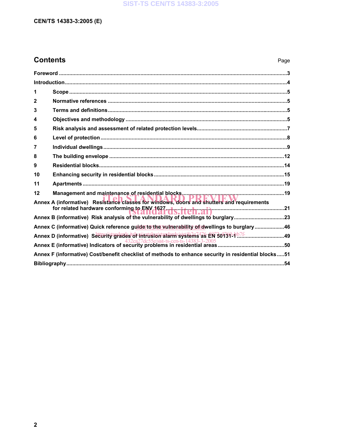### **SIST-TS CEN/TS 14383-3:2005**

### **CEN/TS 14383-3:2005 (E)**

# **Contents** Page

| 1                                                                                                   |  |
|-----------------------------------------------------------------------------------------------------|--|
| $\mathbf{2}$                                                                                        |  |
| 3                                                                                                   |  |
| 4                                                                                                   |  |
| 5                                                                                                   |  |
| 6                                                                                                   |  |
| 7                                                                                                   |  |
| 8                                                                                                   |  |
| 9                                                                                                   |  |
| 10                                                                                                  |  |
| 11                                                                                                  |  |
| 12                                                                                                  |  |
| Annex A (informative) Resistance classes for windows, doors and shutters and requirements           |  |
| for related hardware conforming to ENV 1627. dy. it et al. at it was an annumerous manuscript 21    |  |
|                                                                                                     |  |
| Annex C (informative) Quick reference guide to the vulnerability of dwellings to burglary 46        |  |
|                                                                                                     |  |
|                                                                                                     |  |
| Annex F (informative) Cost/benefit checklist of methods to enhance security in residential blocks51 |  |
|                                                                                                     |  |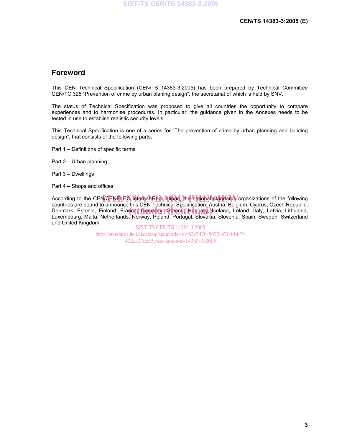### **Foreword**

This CEN Technical Specification (CEN/TS 14383-3:2005) has been prepared by Technical Committee CEN/TC 325 "Prevention of crime by urban planing design", the secretariat of which is held by SNV.

The status of Technical Specification was proposed to give all countries the opportunity to compare experiences and to harmonise procedures. In particular, the guidance given in the Annexes needs to be tested in use to establish realistic security levels.

This Technical Specification is one of a series for "The prevention of crime by urban planning and building design", that consists of the following parts:

- Part 1 Definitions of specific terms
- Part 2 Urban planning
- Part 3 Dwellings
- Part 4 Shops and offices

According to the CEN/CENELES Internal Regulations, the national standards organizations of the following<br>countries are bound to appounce this CEN Technical Specification: Austria, Belgium, Cynrus, Czech Benublic, countries are bound to announce this CEN Technical Specification: Austria, Belgium, Cyprus, Czech Republic, Countries are boarid to annoance this OEN Technical operhication: Adstria, Deignam, Oyprus, Ozech Republic, Denmark, Estonia, Finland, France, Germany, Greece, Hungary, Iceland, Ireland, Italy, Latvia, Lithuania, Italy, La Luxembourg, Malta, Netherlands, Norway, Poland, Portugal, Slovakia, Slovenia, Spain, Sweden, Switzerland and United Kingdom.

SIST-TS CEN/TS 14383-3:2005 https://standards.iteh.ai/catalog/standards/sist/fa2e7476-5072-4760-bb7f-432ca27dc55e/sist-ts-cen-ts-14383-3-2005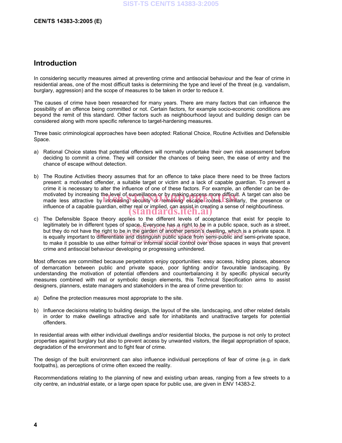### **Introduction**

In considering security measures aimed at preventing crime and antisocial behaviour and the fear of crime in residential areas, one of the most difficult tasks is determining the type and level of the threat (e.g. vandalism, burglary, aggression) and the scope of measures to be taken in order to reduce it.

The causes of crime have been researched for many years. There are many factors that can influence the possibility of an offence being committed or not. Certain factors, for example socio-economic conditions are beyond the remit of this standard. Other factors such as neighbourhood layout and building design can be considered along with more specific reference to target-hardening measures.

Three basic criminological approaches have been adopted: Rational Choice, Routine Activities and Defensible Space.

- a) Rational Choice states that potential offenders will normally undertake their own risk assessment before deciding to commit a crime. They will consider the chances of being seen, the ease of entry and the chance of escape without detection.
- b) The Routine Activities theory assumes that for an offence to take place there need to be three factors present: a motivated offender, a suitable target or victim and a lack of capable guardian. To prevent a crime it is necessary to alter the influence of one of these factors. For example, an offender can be demotivated by increasing the level of surveillance or by making access more difficult. A target can also be motivated by increasing the level of surveillance or by making access more difficult. A target can also be<br>made less attractive by lincreasing security or removing escape routes. Similarly, the presence or influence of a capable guardian, either real or implied, can assist in creating a sense of neighbourliness. (standards.iteh.ai)
- c) The Defensible Space theory applies to the different levels of acceptance that exist for people to legitimately be in different types of space. Everyone has a right to be in a public space, such as a street, legiumately be in different types of space. Everybele, has a right, to be in a public space, such as a street,<br>but they do not have the right to be in the garden of another person's dwelling, which is a private space. It but they do not have the hynt to be in the garden of another person's dwelling, which is a private space. It<br>is equally important to differentiate and distinguish public space from semi-public and semi-private space, to equally important to uncremate and distinguish pablic space fish begin being habits and serif private space, crime and antisocial behaviour developing or progressing unhindered.

Most offences are committed because perpetrators enjoy opportunities: easy access, hiding places, absence of demarcation between public and private space, poor lighting and/or favourable landscaping. By understanding the motivation of potential offenders and counterbalancing it by specific physical security measures combined with real or symbolic design elements, this Technical Specification aims to assist designers, planners, estate managers and stakeholders in the area of crime prevention to:

- a) Define the protection measures most appropriate to the site.
- b) Influence decisions relating to building design, the layout of the site, landscaping, and other related details in order to make dwellings attractive and safe for inhabitants and unattractive targets for potential offenders.

In residential areas with either individual dwellings and/or residential blocks, the purpose is not only to protect properties against burglary but also to prevent access by unwanted visitors, the illegal appropriation of space, degradation of the environment and to fight fear of crime.

The design of the built environment can also influence individual perceptions of fear of crime (e.g. in dark footpaths), as perceptions of crime often exceed the reality.

Recommendations relating to the planning of new and existing urban areas, ranging from a few streets to a city centre, an industrial estate, or a large open space for public use, are given in ENV 14383-2.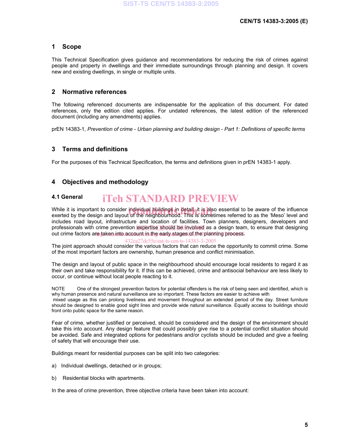### **1 Scope**

This Technical Specification gives guidance and recommendations for reducing the risk of crimes against people and property in dwellings and their immediate surroundings through planning and design. It covers new and existing dwellings, in single or multiple units.

### **2 Normative references**

The following referenced documents are indispensable for the application of this document. For dated references, only the edition cited applies. For undated references, the latest edition of the referenced document (including any amendments) applies.

prEN 14383-1, *Prevention of crime - Urban planning and building design - Part 1: Definitions of specific terms*

### **3 Terms and definitions**

For the purposes of this Technical Specification, the terms and definitions given in prEN 14383-1 apply.

### **4 Objectives and methodology**

#### **4.1 General**  iTeh STANDARD PREVIEW

While it is important to consider individual buildings in detail, it is also essential to be aware of the influence While it is important to consider individual buildings in detail, it is also essential to be aware of the influence<br>exerted by the design and layout of the neighbourhood. This is sometimes referred to as the 'Meso' level a includes road layout, infrastructure and location of facilities. Town planners, designers, developers and professionals with crime prevention expertise should be anvolved as a design team, to ensure that designing out crime factors are taken into account in the early stages of the planning process.

432ca27dc55e/sist-ts-cen-ts-14383-3-2005

The joint approach should consider the various factors that can reduce the opportunity to commit crime. Some of the most important factors are ownership, human presence and conflict minimisation.

The design and layout of public space in the neighbourhood should encourage local residents to regard it as their own and take responsibility for it. If this can be achieved, crime and antisocial behaviour are less likely to occur, or continue without local people reacting to it.

NOTE One of the strongest prevention factors for potential offenders is the risk of being seen and identified, which is why human presence and natural surveillance are so important. These factors are easier to achieve with

 mixed usage as this can prolong liveliness and movement throughout an extended period of the day. Street furniture should be designed to enable good sight lines and provide wide natural surveillance. Equally access to buildings should front onto public space for the same reason.

Fear of crime, whether justified or perceived, should be considered and the design of the environment should take this into account. Any design feature that could possibly give rise to a potential conflict situation should be avoided. Safe and integrated options for pedestrians and/or cyclists should be included and give a feeling of safety that will encourage their use.

Buildings meant for residential purposes can be split into two categories:

- a) Individual dwellings, detached or in groups;
- b) Residential blocks with apartments.

In the area of crime prevention, three objective criteria have been taken into account: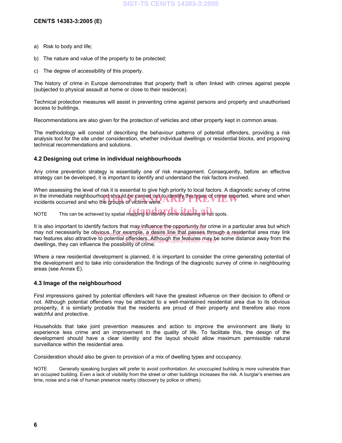- a) Risk to body and life;
- b) The nature and value of the property to be protected;
- c) The degree of accessibility of this property.

The history of crime in Europe demonstrates that property theft is often linked with crimes against people (subjected to physical assault at home or close to their residence).

Technical protection measures will assist in preventing crime against persons and property and unauthorised access to buildings.

Recommendations are also given for the protection of vehicles and other property kept in common areas.

The methodology will consist of describing the behaviour patterns of potential offenders, providing a risk analysis tool for the site under consideration, whether individual dwellings or residential blocks, and proposing technical recommendations and solutions.

### **4.2 Designing out crime in individual neighbourhoods**

Any crime prevention strategy is essentially one of risk management. Consequently, before an effective strategy can be developed, it is important to identify and understand the risk factors involved.

When assessing the level of risk it is essential to give high priority to local factors. A diagnostic survey of crime in the immediate neighbourhood should be carried out to identify the types of crime reported, where and when<br>incidents occurred and who the groups of victims were. incidents occurred and who the groups of victims were.

NOTE This can be achieved by spatial mapping to identify crime clustering or hot spots.

It is also important to identify factors that may influence the opportunity for crime in a particular area but which may not necessarily be obvious. For example, a desire line that passes through a residential area may link<br>https://standard.iteh.ai/catalog/sistem.ai/catalog/sistem.ai/catalog/sist/fa2e7476-5072-5072-507-607-607-607-6 two features also attractive to potential offenders. Although the features may be some distance away from the<br>ducilings, they can influence the possibility of close such securits-14383-3-2005 dwellings, they can influence the possibility of crime.

Where a new residential development is planned, it is important to consider the crime generating potential of the development and to take into consideration the findings of the diagnostic survey of crime in neighbouring areas (see Annex E).

### **4.3 Image of the neighbourhood**

First impressions gained by potential offenders will have the greatest influence on their decision to offend or not. Although potential offenders may be attracted to a well-maintained residential area due to its obvious prosperity, it is similarly probable that the residents are proud of their property and therefore also more watchful and protective.

Households that take joint prevention measures and action to improve the environment are likely to experience less crime and an improvement in the quality of life. To facilitate this, the design of the development should have a clear identity and the layout should allow maximum permissible natural surveillance within the residential area.

Consideration should also be given to provision of a mix of dwelling types and occupancy.

NOTE Generally speaking burglars will prefer to avoid confrontation. An unoccupied building is more vulnerable than an occupied building. Even a lack of visibility from the street or other buildings increases the risk. A burglar's enemies are time, noise and a risk of human presence nearby (discovery by police or others).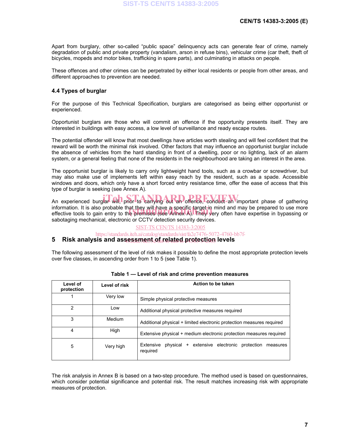Apart from burglary, other so-called "public space" delinquency acts can generate fear of crime, namely degradation of public and private property (vandalism, arson in refuse bins), vehicular crime (car theft, theft of bicycles, mopeds and motor bikes, trafficking in spare parts), and culminating in attacks on people.

These offences and other crimes can be perpetrated by either local residents or people from other areas, and different approaches to prevention are needed.

### **4.4 Types of burglar**

For the purpose of this Technical Specification, burglars are categorised as being either opportunist or experienced.

Opportunist burglars are those who will commit an offence if the opportunity presents itself. They are interested in buildings with easy access, a low level of surveillance and ready escape routes.

The potential offender will know that most dwellings have articles worth stealing and will feel confident that the reward will be worth the minimal risk involved. Other factors that may influence an opportunist burglar include the absence of vehicles from the hard standing in front of a dwelling, poor or no lighting, lack of an alarm system, or a general feeling that none of the residents in the neighbourhood are taking an interest in the area.

The opportunist burglar is likely to carry only lightweight hand tools, such as a crowbar or screwdriver, but may also make use of implements left within easy reach by the resident, such as a spade. Accessible windows and doors, which only have a short forced entry resistance time, offer the ease of access that this type of burglar is seeking (see Annex A).

An experienced burglar will, prior to carrying out an offence, conduct an important phase of gathering information. It is also probable that they will have a specific target in mind and may be prepared to use more information. It is also probable that they will have a specific target in mind and may be prepared to use more<br>effective tools to gain entry to the premises (see Annex A). They very often have expertise in bypassing or sabotaging mechanical, electronic or CCTV detection security devices.

SIST-TS CEN/TS 14383-3:2005

https://standards.iteh.ai/catalog/standards/sist/fa2e7476-5072-4760-bb7f-

### 5 Risk analysis and ass<u>essment of related protection</u> levels

The following assessment of the level of risk makes it possible to define the most appropriate protection levels over five classes, in ascending order from 1 to 5 (see Table 1).

| Level of<br>protection | Level of risk | Action to be taken                                                              |  |  |  |  |
|------------------------|---------------|---------------------------------------------------------------------------------|--|--|--|--|
|                        | Very low      | Simple physical protective measures                                             |  |  |  |  |
| $\mathfrak{p}$         | Low           | Additional physical protective measures required                                |  |  |  |  |
| 3                      | Medium        | Additional physical + limited electronic protection measures required           |  |  |  |  |
| 4                      | High          | Extensive physical + medium electronic protection measures required             |  |  |  |  |
| 5                      | Very high     | Extensive<br>physical + extensive electronic protection<br>measures<br>required |  |  |  |  |

#### **Table 1 — Level of risk and crime prevention measures**

The risk analysis in Annex B is based on a two-step procedure. The method used is based on questionnaires, which consider potential significance and potential risk. The result matches increasing risk with appropriate measures of protection.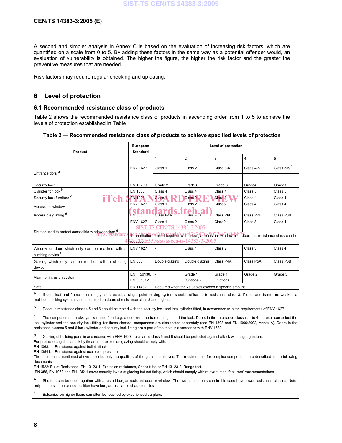A second and simpler analysis in Annex C is based on the evaluation of increasing risk factors, which are quantified on a scale from  $0$  to 5. By adding these factors in the same way as a potential offender would, an evaluation of vulnerability is obtained. The higher the figure, the higher the risk factor and the greater the preventive measures that are needed.

Risk factors may require regular checking and up dating.

### **6 Level of protection**

### **6.1 Recommended resistance class of products**

Table 2 shows the recommended resistance class of products in ascending order from 1 to 5 to achieve the levels of protection established in Table 1.

| Table 2 — Recommended resistance class of products to achieve specified levels of protection |
|----------------------------------------------------------------------------------------------|
|----------------------------------------------------------------------------------------------|

| Product                                                                         | European<br><b>Standard</b>                                                                            |                                                      | Level of protection                       |              |                |                        |  |
|---------------------------------------------------------------------------------|--------------------------------------------------------------------------------------------------------|------------------------------------------------------|-------------------------------------------|--------------|----------------|------------------------|--|
|                                                                                 |                                                                                                        |                                                      | $\overline{2}$                            | 3            | $\overline{4}$ | 5                      |  |
| Entrance dors <sup>a</sup>                                                      | <b>ENV 1627</b>                                                                                        | Class 1                                              | Class 2                                   | Class 3-4    | Class 4-5      | Class 5-6 <sup>b</sup> |  |
|                                                                                 |                                                                                                        |                                                      |                                           |              |                |                        |  |
| Security lock                                                                   | EN 12209                                                                                               | Grade 2                                              | Grade3                                    | Grade 3      | Grade4         | Grade 5                |  |
| Cylinder for lock b                                                             | EN 1303                                                                                                | Class 4                                              | Class 4                                   | Class 4      | Class 5        | Class 5                |  |
| Security lock furniture C                                                       | <b>EN 1906</b>                                                                                         | Class <sub>1</sub>                                   | Class <sub>2</sub>                        | $C$ lass $3$ | Class 4        | Class 4                |  |
| Accessible window                                                               | <b>ENV 1627</b>                                                                                        | Class 1                                              | Class 2                                   | Class3       | Class 4        | Class 4                |  |
| Accessible glazing d                                                            | <b>EN 356</b>                                                                                          | <b>Class P4A</b>                                     | <b>Class P5A</b>                          | Class P6B    | Class P7B      | Class P8B              |  |
|                                                                                 | <b>ENV 1627</b>                                                                                        | Class 1                                              | Class 2                                   | Class2       | Class 3        | Class 4                |  |
|                                                                                 | SIST-T                                                                                                 | CEN/TS 14383-3:2005                                  |                                           |              |                |                        |  |
| Shutter used to protect accessible window or door e<br>https://standard         | If the shutter is used together with a burglar resistant window or a door, the resistance class can be |                                                      |                                           |              |                |                        |  |
|                                                                                 |                                                                                                        |                                                      | Reduced dc55e/sist-ts-cen-ts-14383-3-2005 |              |                |                        |  |
| Window or door which only can be reached with a<br>climbing device <sup>T</sup> | <b>ENV 1627</b>                                                                                        | $\overline{a}$                                       | Class 1                                   | Class 2      | Class 3        | Class 4                |  |
| Glazing which only can be reached with a climbing                               | <b>EN 356</b>                                                                                          | Double glazing                                       | Double glazing                            | Class P4A    | Class P5A      | Class P6B              |  |
| device                                                                          |                                                                                                        |                                                      |                                           |              |                |                        |  |
|                                                                                 | 50130.<br>EN                                                                                           |                                                      | Grade 1                                   | Grade 1      | Grade 2        | Grade 3                |  |
| Alarm or intrusion system                                                       | EN 50131-1                                                                                             |                                                      | (Optional)                                | (Optional)   |                |                        |  |
| Safe                                                                            | EN 1143-1                                                                                              | Required when the valuables exceed a specific amount |                                           |              |                |                        |  |

<sup>a</sup> If door leaf and frame are strongly constructed, a single point locking system should suffice up to resistance class 3. If door and frame are weaker, a multipoint locking system should be used on doors of resistance class 3 and higher.

<sup>b</sup> Doors in resistance classes 5 and 6 should be tested with the security lock and lock cylinder fitted, in accordance with the requirements of ENV 1627.

The components are always examined fitted e.g. a door with the frame, hinges and the lock. Doors in the resistance classes 1 to 4 the user can select the lock cylinder and the security lock fitting, for these classes, components are also tested separately (see EN 1303 and EN 1906:2002, Annex A). Doors in the resistance classes 5 and 6 lock cylinder and security lock fitting are a part of the tests in accordance with ENV 1630.

d Glazing of building parts in accordance with ENV 1627, resistance class 5 and 6 should be protected against attack with angle grinders. For protection against attack by firearms or explosion glazing should comply with:

EN 1063: Resistance against bullet attack

EN 13541: Resistance against explosion pressure

The documents mentioned above describe only the qualities of the glass themselves. The requirements for complex components are described in the following documents:

EN 1522: Bullet Resistance, EN 13123-1: Explosion resistance, Shock tube or EN 13123-2, Range test.

EN 356, EN 1063 and EN 13541 cover security levels of glazing but not fixing, which should comply with relevant manufacturers' recommendations.

e Shutters can be used together with a tested burglar resistant door or window. The two components can in this case have lower resistance classes. Note, only shutters in the closed position have burglar resistance characteristics.

Balconies on higher floors can often be reached by experienced burglars.

f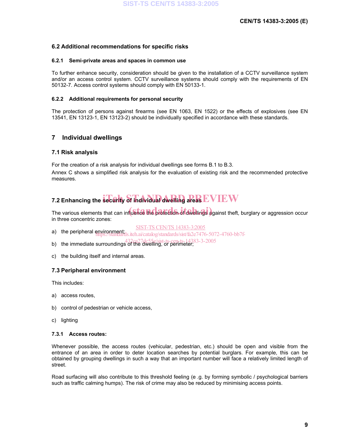### **6.2 Additional recommendations for specific risks**

### **6.2.1 Semi-private areas and spaces in common use**

To further enhance security, consideration should be given to the installation of a CCTV surveillance system and/or an access control system. CCTV surveillance systems should comply with the requirements of EN 50132-7. Access control systems should comply with EN 50133-1.

### **6.2.2 Additional requirements for personal security**

The protection of persons against firearms (see EN 1063, EN 1522) or the effects of explosives (see EN 13541, EN 13123-1, EN 13123-2) should be individually specified in accordance with these standards.

### **7 Individual dwellings**

### **7.1 Risk analysis**

For the creation of a risk analysis for individual dwellings see forms B.1 to B.3.

Annex C shows a simplified risk analysis for the evaluation of existing risk and the recommended protective measures.

# **7.2 Enhancing the security of individual dwelling areas**  $\mathbf{E}\mathbf{V}\mathbf{I}\mathbf{E}\mathbf{W}$

The various elements that can influence the protection of dwellings against theft, burglary or aggression occur in three concentric zones:

- SIST-TS CEN/TS 14383-3:2005
- a) the peripheral environment; **Alternational Community Community** is the peripheral engineering of the peripheral engineering of the peripheral engineering of the peripheral engineering of the peripheral engineering of th
- b) the immediate surroundings of the dwelling, or perimeter; 4383-3-2005
- c) the building itself and internal areas.

### **7.3 Peripheral environment**

This includes:

- a) access routes,
- b) control of pedestrian or vehicle access,
- c) lighting

### **7.3.1 Access routes:**

Whenever possible, the access routes (vehicular, pedestrian, etc.) should be open and visible from the entrance of an area in order to deter location searches by potential burglars. For example, this can be obtained by grouping dwellings in such a way that an important number will face a relatively limited length of street.

Road surfacing will also contribute to this threshold feeling (e .g. by forming symbolic / psychological barriers such as traffic calming humps). The risk of crime may also be reduced by minimising access points.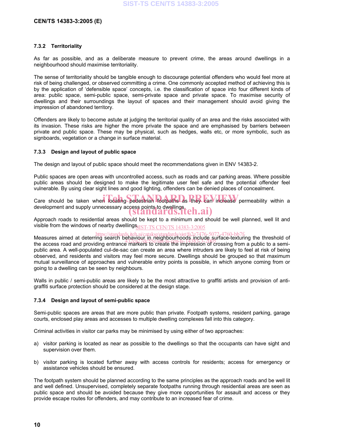### **CEN/TS 14383-3:2005 (E)**

### **7.3.2 Territoriality**

As far as possible, and as a deliberate measure to prevent crime, the areas around dwellings in a neighbourhood should maximise territoriality.

The sense of territoriality should be tangible enough to discourage potential offenders who would feel more at risk of being challenged, or observed committing a crime. One commonly accepted method of achieving this is by the application of 'defensible space' concepts, i.e. the classification of space into four different kinds of area: public space, semi-public space, semi-private space and private space. To maximise security of dwellings and their surroundings the layout of spaces and their management should avoid giving the impression of abandoned territory.

Offenders are likely to become astute at judging the territorial quality of an area and the risks associated with its invasion. These risks are higher the more private the space and are emphasised by barriers between private and public space. These may be physical, such as hedges, walls etc, or more symbolic, such as signboards, vegetation or a change in surface material.

### **7.3.3 Design and layout of public space**

The design and layout of public space should meet the recommendations given in ENV 14383-2.

Public spaces are open areas with uncontrolled access, such as roads and car parking areas. Where possible public areas should be designed to make the legitimate user feel safe and the potential offender feel vulnerable. By using clear sight lines and good lighting, offenders can be denied places of concealment.

Care should be taken when locating pedestrian footpaths as they can increase permeability within a development and supply unnecessary access points to dwellings. (standards.iteh.ai)

Approach roads to residential areas should be kept to a minimum and should be well planned, well lit and visible from the windows of nearby dwellings $_{\rm \overline{SIST-TS}~CEN/TS}$   $14383$ -3:2005

https://standards.iteh.ai/catalog/standards/sist/fa2e7476-5072-4760-bb7f-<br>Measures aimed at deterring search behaviour in neighbourhoods include surface-texturing the threshold of measures almed at determing search behaviour in regnipourinous, include, surface-texturing the threshold of<br>the access road and providing entrance markers to create the impression of crossing from a public to a semipublic area. A well-populated cul-de-sac can create an area where intruders are likely to feel at risk of being observed, and residents and visitors may feel more secure. Dwellings should be grouped so that maximum mutual surveillance of approaches and vulnerable entry points is possible, in which anyone coming from or going to a dwelling can be seen by neighbours.

Walls in public / semi-public areas are likely to be the most attractive to graffiti artists and provision of antigraffiti surface protection should be considered at the design stage.

### **7.3.4 Design and layout of semi-public space**

Semi-public spaces are areas that are more public than private. Footpath systems, resident parking, garage courts, enclosed play areas and accesses to multiple dwelling complexes fall into this category.

Criminal activities in visitor car parks may be minimised by using either of two approaches:

- a) visitor parking is located as near as possible to the dwellings so that the occupants can have sight and supervision over them.
- b) visitor parking is located further away with access controls for residents; access for emergency or assistance vehicles should be ensured.

The footpath system should be planned according to the same principles as the approach roads and be well lit and well defined. Unsupervised, completely separate footpaths running through residential areas are seen as public space and should be avoided because they give more opportunities for assault and access or they provide escape routes for offenders, and may contribute to an increased fear of crime.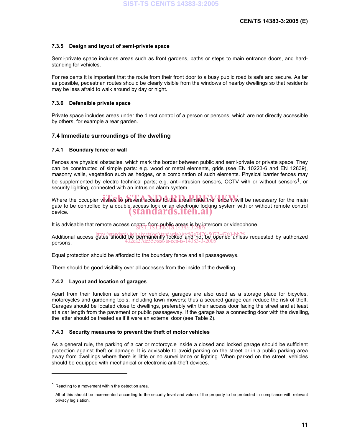### **7.3.5 Design and layout of semi-private space**

Semi-private space includes areas such as front gardens, paths or steps to main entrance doors, and hardstanding for vehicles.

For residents it is important that the route from their front door to a busy public road is safe and secure. As far as possible, pedestrian routes should be clearly visible from the windows of nearby dwellings so that residents may be less afraid to walk around by day or night.

### **7.3.6 Defensible private space**

Private space includes areas under the direct control of a person or persons, which are not directly accessible by others, for example a rear garden.

### **7.4 Immediate surroundings of the dwelling**

### **7.4.1 Boundary fence or wall**

Fences are physical obstacles, which mark the border between public and semi-private or private space. They can be constructed of simple parts: e.g. wood or metal elements, grids (see EN 10223-6 and EN 12839), masonry walls, vegetation such as hedges, or a combination of such elements. Physical barrier fences may be supplemented by electro technical parts; e.g. anti-intrusion sensors, CCTV with or without sensors<sup>1</sup>, or security lighting, connected with an intrusion alarm system.

Where the occupier wishes to prevent access to the area inside the fence it will be necessary for the main gate to be controlled by a double access lock or an electronic locking system with or without remote control device. (standards.iteh.ai)

It is advisable that remote access control from public areas is by intercom or videophone.<br>
Significantly control in the control of the control of the control of the control of the control of the contr<br>
It is advisable tha

Additional access https://standards.iteh.ai/catalog/standards/sist/fa2e7476-5072-4760-bb7f-<br>Additional access gates should be permanently locked and not be opened unless requested by authorized persons. 432ca27dc55e/sist-ts-cen-ts-14383-3-2005

Equal protection should be afforded to the boundary fence and all passageways.

There should be good visibility over all accesses from the inside of the dwelling.

### **7.4.2 Layout and location of garages**

Apart from their function as shelter for vehicles, garages are also used as a storage place for bicycles, motorcycles and gardening tools, including lawn mowers; thus a secured garage can reduce the risk of theft. Garages should be located close to dwellings, preferably with their access door facing the street and at least at a car length from the pavement or public passageway. If the garage has a connecting door with the dwelling, the latter should be treated as if it were an external door (see Table 2).

### **7.4.3 Security measures to prevent the theft of motor vehicles**

As a general rule, the parking of a car or motorcycle inside a closed and locked garage should be sufficient protection against theft or damage. It is advisable to avoid parking on the street or in a public parking area away from dwellings where there is little or no surveillance or lighting. When parked on the street, vehicles should be equipped with mechanical or electronic anti-theft devices.

 $\overline{a}$ 

<sup>&</sup>lt;sup>1</sup> Reacting to a movement within the detection area.

All of this should be incremented according to the security level and value of the property to be protected in compliance with relevant privacy legislation.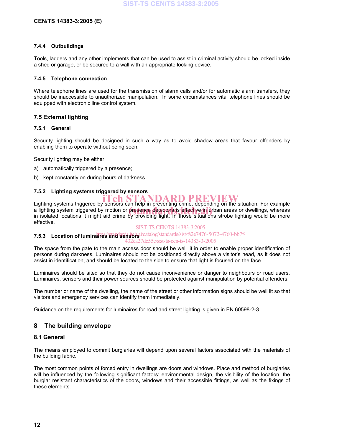### **CEN/TS 14383-3:2005 (E)**

### **7.4.4 Outbuildings**

Tools, ladders and any other implements that can be used to assist in criminal activity should be locked inside a shed or garage, or be secured to a wall with an appropriate locking device.

### **7.4.5 Telephone connection**

Where telephone lines are used for the transmission of alarm calls and/or for automatic alarm transfers, they should be inaccessible to unauthorized manipulation. In some circumstances vital telephone lines should be equipped with electronic line control system.

### **7.5 External lighting**

### **7.5.1 General**

Security lighting should be designed in such a way as to avoid shadow areas that favour offenders by enabling them to operate without being seen.

Security lighting may be either:

- a) automatically triggered by a presence;
- b) kept constantly on during hours of darkness.

### **7.5.2 Lighting systems triggered by sensors**

Lighting systems triggered by sensors can help in preventing crime, depending on the situation. For example a lighting system triggered by motion or presence detectors is effective in urban areas or dwellings, whereas<br>in isolated locations it might aid crime by providing light. In those situations strobe lighting would be more in isolated locations it might aid crime by providing light. In those situations strobe lighting would be more effective.

### SIST-TS CEN/TS 14383-3:2005

### **7.5.3 Location of luminaties/and sensors** *icatalog/standards/sist/fa2e7476-5072-4760-bb7f-*432ca27dc55e/sist-ts-cen-ts-14383-3-2005

The space from the gate to the main access door should be well lit in order to enable proper identification of persons during darkness. Luminaires should not be positioned directly above a visitor's head, as it does not assist in identification, and should be located to the side to ensure that light is focused on the face.

Luminaires should be sited so that they do not cause inconvenience or danger to neighbours or road users. Luminaires, sensors and their power sources should be protected against manipulation by potential offenders.

The number or name of the dwelling, the name of the street or other information signs should be well lit so that visitors and emergency services can identify them immediately.

Guidance on the requirements for luminaires for road and street lighting is given in EN 60598-2-3.

### **8 The building envelope**

### **8.1 General**

The means employed to commit burglaries will depend upon several factors associated with the materials of the building fabric.

The most common points of forced entry in dwellings are doors and windows. Place and method of burglaries will be influenced by the following significant factors: environmental design, the visibility of the location, the burglar resistant characteristics of the doors, windows and their accessible fittings, as well as the fixings of these elements.